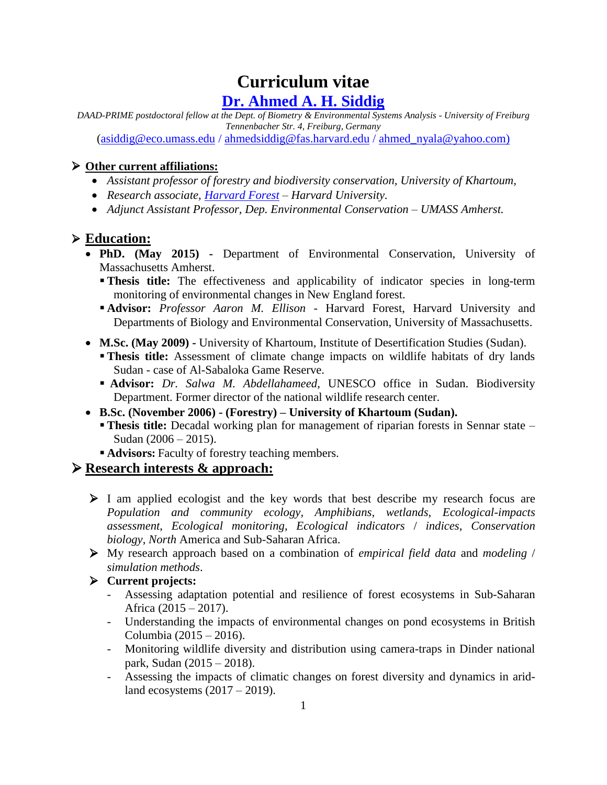# **Curriculum vitae [Dr. Ahmed](https://www.biom.uni-freiburg.de/mitarbeiter/A_Siddig) A. H. Siddig**

*DAAD-PRIME postdoctoral fellow at the Dept. of Biometry & Environmental Systems Analysis - University of Freiburg Tennenbacher Str. 4, Freiburg, Germany* 

[\(asiddig@eco.umass.edu](mailto:asiddig@eco.umass.edu) / [ahmedsiddig@fas.harvard.edu](mailto:ahmedsiddig@fas.harvard.edu) / [ahmed\\_nyala@yahoo.com\)](mailto:ahmed_nyala@yahoo.com)

## **Other current affiliations:**

- *Assistant professor of forestry and biodiversity conservation, University of Khartoum,*
- *Research associate, [Harvard Forest](http://harvardforest.fas.harvard.edu/researchers/10492) – Harvard University.*
- *Adjunct Assistant Professor, Dep. Environmental Conservation – UMASS Amherst.*

# **Education:**

- **PhD. (May 2015) -** Department of Environmental Conservation, University of Massachusetts Amherst.
	- **Thesis title:** The effectiveness and applicability of indicator species in long-term monitoring of environmental changes in New England forest.
	- **Advisor:** *Professor Aaron M. Ellison -* Harvard Forest, Harvard University and Departments of Biology and Environmental Conservation, University of Massachusetts.
- **M.Sc. (May 2009) -** University of Khartoum, Institute of Desertification Studies (Sudan).
	- **Thesis title:** Assessment of climate change impacts on wildlife habitats of dry lands Sudan - case of Al-Sabaloka Game Reserve.
	- **Advisor:** *Dr. Salwa M. Abdellahameed*, UNESCO office in Sudan. Biodiversity Department. Former director of the national wildlife research center.
- **B.Sc. (November 2006) - (Forestry) – University of Khartoum (Sudan).**
	- **Thesis title:** Decadal working plan for management of riparian forests in Sennar state Sudan (2006 – 2015).
	- **Advisors:** Faculty of forestry teaching members.

# **Research interests & approach:**

- $\triangleright$  I am applied ecologist and the key words that best describe my research focus are *Population and community ecology, Amphibians, wetlands, Ecological-impacts assessment*, *Ecological monitoring*, *Ecological indicators* / *indices*, *Conservation biology*, *North* America and Sub-Saharan Africa.
- My research approach based on a combination of *empirical field data* and *modeling* / *simulation methods*.
- **Current projects:** 
	- Assessing adaptation potential and resilience of forest ecosystems in Sub-Saharan Africa (2015 – 2017).
	- Understanding the impacts of environmental changes on pond ecosystems in British Columbia (2015 – 2016).
	- Monitoring wildlife diversity and distribution using camera-traps in Dinder national park, Sudan (2015 – 2018).
	- Assessing the impacts of climatic changes on forest diversity and dynamics in aridland ecosystems (2017 – 2019).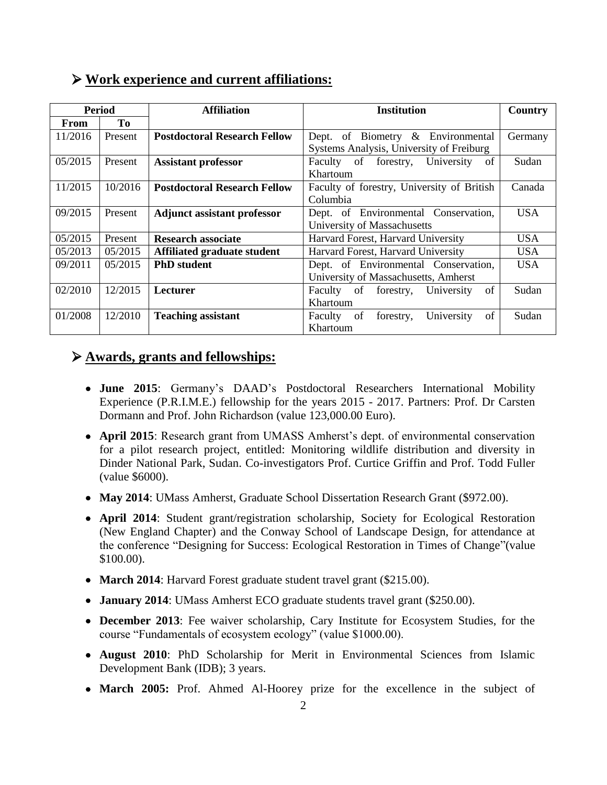| <b>Period</b> |                | <b>Affiliation</b>                  | <b>Institution</b>                             | Country    |
|---------------|----------------|-------------------------------------|------------------------------------------------|------------|
| From          | T <sub>0</sub> |                                     |                                                |            |
| 11/2016       | Present        | <b>Postdoctoral Research Fellow</b> | Dept. of Biometry & Environmental              | Germany    |
|               |                |                                     | Systems Analysis, University of Freiburg       |            |
| 05/2015       | Present        | <b>Assistant professor</b>          | Faculty of forestry,<br>University<br>of       | Sudan      |
|               |                |                                     | Khartoum                                       |            |
| 11/2015       | 10/2016        | <b>Postdoctoral Research Fellow</b> | Faculty of forestry, University of British     | Canada     |
|               |                |                                     | Columbia                                       |            |
| 09/2015       | Present        | <b>Adjunct assistant professor</b>  | Dept. of Environmental Conservation,           | <b>USA</b> |
|               |                |                                     | University of Massachusetts                    |            |
| 05/2015       | Present        | <b>Research associate</b>           | Harvard Forest, Harvard University             | USA.       |
| 05/2013       | 05/2015        | Affiliated graduate student         | Harvard Forest, Harvard University             | <b>USA</b> |
| 09/2011       | 05/2015        | <b>PhD</b> student                  | Dept. of Environmental Conservation,           | USA.       |
|               |                |                                     | University of Massachusetts, Amherst           |            |
| 02/2010       | 12/2015        | <b>Lecturer</b>                     | of<br>Faculty of forestry,<br>University       | Sudan      |
|               |                |                                     | Khartoum                                       |            |
| 01/2008       | 12/2010        | <b>Teaching assistant</b>           | of<br>University<br>of<br>Faculty<br>forestry, | Sudan      |
|               |                |                                     | Khartoum                                       |            |

## **Work experience and current affiliations:**

### **Awards, grants and fellowships:**

- **June 2015**: Germany's DAAD's Postdoctoral Researchers International Mobility Experience (P.R.I.M.E.) fellowship for the years 2015 - 2017. Partners: Prof. Dr Carsten Dormann and Prof. John Richardson (value 123,000.00 Euro).
- **April 2015**: Research grant from UMASS Amherst's dept. of environmental conservation for a pilot research project, entitled: Monitoring wildlife distribution and diversity in Dinder National Park, Sudan. Co-investigators Prof. Curtice Griffin and Prof. Todd Fuller (value \$6000).
- **May 2014**: UMass Amherst, Graduate School Dissertation Research Grant (\$972.00).
- **April 2014**: Student grant/registration scholarship, Society for Ecological Restoration (New England Chapter) and the Conway School of Landscape Design, for attendance at the conference "Designing for Success: Ecological Restoration in Times of Change"(value \$100.00).
- **March 2014**: Harvard Forest graduate student travel grant (\$215.00).
- **January 2014**: UMass Amherst ECO graduate students travel grant (\$250.00).
- **December 2013**: Fee waiver scholarship, Cary Institute for Ecosystem Studies, for the course "Fundamentals of ecosystem ecology" (value \$1000.00).
- **August 2010**: PhD Scholarship for Merit in Environmental Sciences from Islamic Development Bank (IDB); 3 years.
- **March 2005:** Prof. Ahmed Al-Hoorey prize for the excellence in the subject of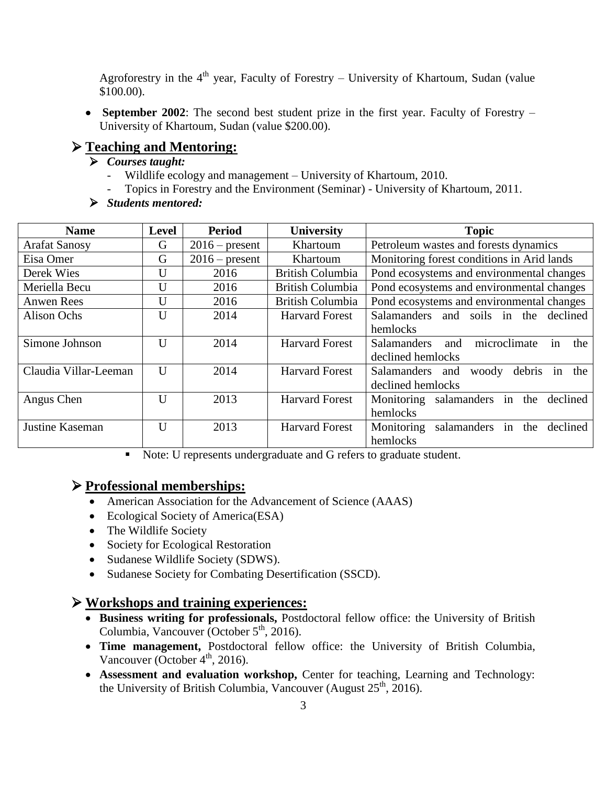Agroforestry in the 4<sup>th</sup> year, Faculty of Forestry – University of Khartoum, Sudan (value \$100.00).

 **September 2002**: The second best student prize in the first year. Faculty of Forestry – University of Khartoum, Sudan (value \$200.00).

#### **Teaching and Mentoring:**

- *Courses taught:* 
	- Wildlife ecology and management University of Khartoum, 2010.
	- Topics in Forestry and the Environment (Seminar) University of Khartoum, 2011.
- *Students mentored:*

| <b>Name</b>           | <b>Level</b> | <b>Period</b>    | University              | <b>Topic</b>                                    |  |
|-----------------------|--------------|------------------|-------------------------|-------------------------------------------------|--|
| <b>Arafat Sanosy</b>  | G            | $2016$ – present | Khartoum                | Petroleum wastes and forests dynamics           |  |
| Eisa Omer             | G            | $2016$ – present | Khartoum                | Monitoring forest conditions in Arid lands      |  |
| Derek Wies            | U            | 2016             | British Columbia        | Pond ecosystems and environmental changes       |  |
| Meriella Becu         | U            | 2016             | British Columbia        | Pond ecosystems and environmental changes       |  |
| Anwen Rees            | U            | 2016             | <b>British Columbia</b> | Pond ecosystems and environmental changes       |  |
| Alison Ochs           | $\mathbf{U}$ | 2014             | <b>Harvard Forest</b>   | Salamanders and soils in the declined           |  |
|                       |              |                  |                         | hemlocks                                        |  |
| Simone Johnson        | $\mathbf{U}$ | 2014             | <b>Harvard Forest</b>   | microclimate<br>Salamanders<br>in<br>and<br>the |  |
|                       |              |                  |                         | declined hemlocks                               |  |
| Claudia Villar-Leeman | U            | 2014             | <b>Harvard Forest</b>   | Salamanders and<br>debris in<br>the<br>woody    |  |
|                       |              |                  |                         | declined hemlocks                               |  |
| Angus Chen            | $\mathbf{I}$ | 2013             | <b>Harvard Forest</b>   | Monitoring salamanders in<br>the<br>declined    |  |
|                       |              |                  |                         | hemlocks                                        |  |
| Justine Kaseman       | $\mathbf{U}$ | 2013             | <b>Harvard Forest</b>   | salamanders in<br>Monitoring<br>the<br>declined |  |
|                       |              |                  |                         | hemlocks                                        |  |

Note: U represents undergraduate and G refers to graduate student.

#### **Professional memberships:**

- American Association for the Advancement of Science (AAAS)
- Ecological Society of America(ESA)
- The Wildlife Society
- Society for Ecological Restoration
- Sudanese Wildlife Society (SDWS).
- Sudanese Society for Combating Desertification (SSCD).

#### **Workshops and training experiences:**

- **Business writing for professionals,** Postdoctoral fellow office: the University of British Columbia, Vancouver (October  $5<sup>th</sup>$ , 2016).
- **Time management,** Postdoctoral fellow office: the University of British Columbia, Vancouver (October  $4<sup>th</sup>$ , 2016).
- **Assessment and evaluation workshop, Center for teaching, Learning and Technology:** the University of British Columbia, Vancouver (August  $25<sup>th</sup>$ , 2016).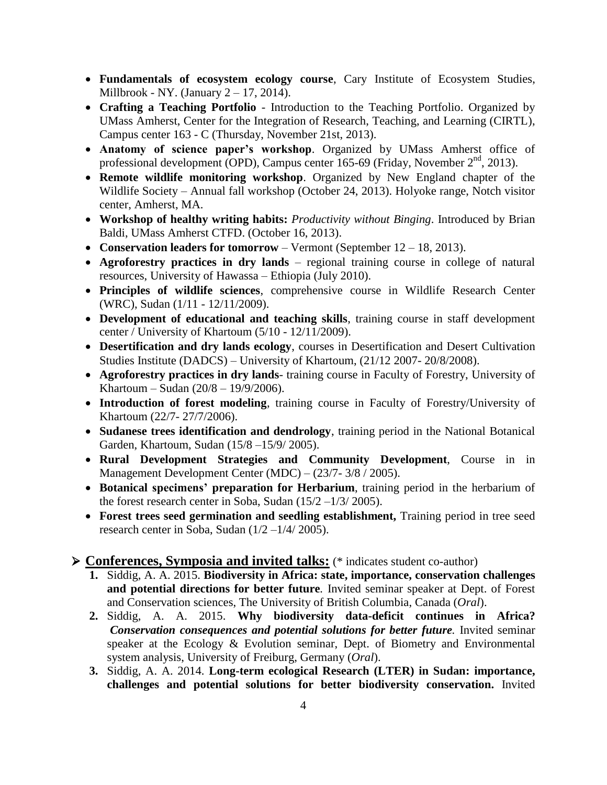- **Fundamentals of ecosystem ecology course**, Cary Institute of Ecosystem Studies, Millbrook - NY. (January  $2 - 17$ , 2014).
- **Crafting a Teaching Portfolio** Introduction to the Teaching Portfolio. Organized by UMass Amherst, Center for the Integration of Research, Teaching, and Learning (CIRTL), Campus center 163 - C (Thursday, November 21st, 2013).
- **Anatomy of science paper's workshop**. Organized by UMass Amherst office of professional development (OPD), Campus center 165-69 (Friday, November  $2<sup>nd</sup>$ , 2013).
- **Remote wildlife monitoring workshop**. Organized by New England chapter of the Wildlife Society – Annual fall workshop (October 24, 2013). Holyoke range, Notch visitor center, Amherst, MA.
- **Workshop of healthy writing habits:** *Productivity without Binging*. Introduced by Brian Baldi, UMass Amherst CTFD. (October 16, 2013).
- **Conservation leaders for tomorrow**  Vermont (September 12 18, 2013).
- **Agroforestry practices in dry lands**  regional training course in college of natural resources, University of Hawassa – Ethiopia (July 2010).
- **Principles of wildlife sciences**, comprehensive course in Wildlife Research Center (WRC), Sudan (1/11 - 12/11/2009).
- **Development of educational and teaching skills**, training course in staff development center / University of Khartoum (5/10 - 12/11/2009).
- **Desertification and dry lands ecology**, courses in Desertification and Desert Cultivation Studies Institute (DADCS) – University of Khartoum, (21/12 2007- 20/8/2008).
- **Agroforestry practices in dry lands** training course in Faculty of Forestry, University of Khartoum – Sudan (20/8 – 19/9/2006).
- **Introduction of forest modeling**, training course in Faculty of Forestry/University of Khartoum (22/7- 27/7/2006).
- **Sudanese trees identification and dendrology**, training period in the National Botanical Garden, Khartoum, Sudan (15/8 –15/9/ 2005).
- **Rural Development Strategies and Community Development**, Course in in Management Development Center (MDC) – (23/7- 3/8 / 2005).
- **Botanical specimens' preparation for Herbarium**, training period in the herbarium of the forest research center in Soba, Sudan  $(15/2 -1/3/2005)$ .
- **Forest trees seed germination and seedling establishment,** Training period in tree seed research center in Soba, Sudan (1/2 –1/4/ 2005).

#### **Conferences, Symposia and invited talks:** (\* indicates student co-author)

- **1.** Siddig, A. A. 2015. **Biodiversity in Africa: state, importance, conservation challenges and potential directions for better future***.* Invited seminar speaker at Dept. of Forest and Conservation sciences, The University of British Columbia, Canada (*Oral*).
- **2.** Siddig, A. A. 2015. **Why biodiversity data-deficit continues in Africa?** *Conservation consequences and potential solutions for better future.* Invited seminar speaker at the Ecology & Evolution seminar, Dept. of Biometry and Environmental system analysis, University of Freiburg, Germany (*Oral*).
- **3.** Siddig, A. A. 2014. **Long-term ecological Research (LTER) in Sudan: importance, challenges and potential solutions for better biodiversity conservation.** Invited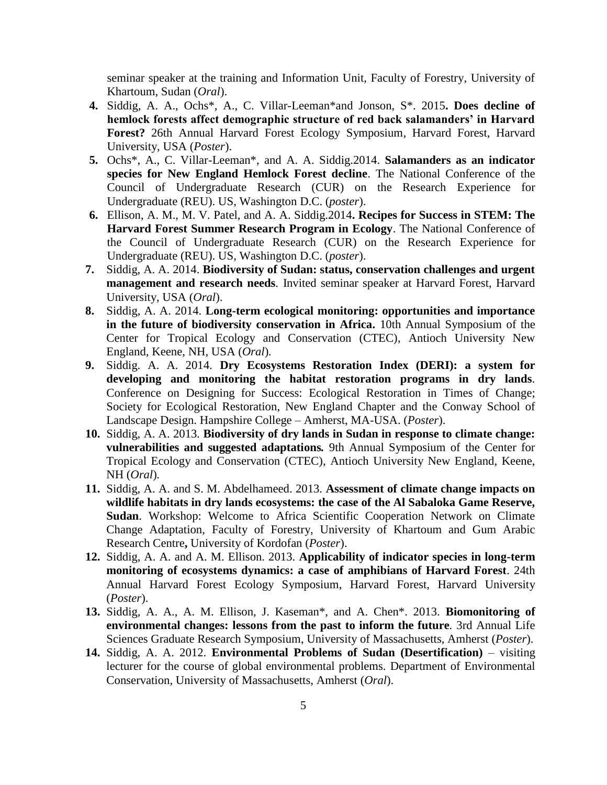seminar speaker at the training and Information Unit, Faculty of Forestry, University of Khartoum, Sudan (*Oral*).

- **4.** Siddig, A. A., Ochs\*, A., C. Villar-Leeman\*and Jonson, S\*. 2015**. Does decline of hemlock forests affect demographic structure of red back salamanders' in Harvard Forest?** 26th Annual Harvard Forest Ecology Symposium, Harvard Forest, Harvard University, USA (*Poster*).
- **5.** Ochs\*, A., C. Villar-Leeman\*, and A. A. Siddig.2014. **Salamanders as an indicator species for New England Hemlock Forest decline**. The National Conference of the Council of Undergraduate Research (CUR) on the Research Experience for Undergraduate (REU). US, Washington D.C. (*poster*).
- **6.** Ellison, A. M., M. V. Patel, and A. A. Siddig.2014**. Recipes for Success in STEM: The Harvard Forest Summer Research Program in Ecology**. The National Conference of the Council of Undergraduate Research (CUR) on the Research Experience for Undergraduate (REU). US, Washington D.C. (*poster*).
- **7.** Siddig, A. A. 2014. **Biodiversity of Sudan: status, conservation challenges and urgent management and research needs***.* Invited seminar speaker at Harvard Forest, Harvard University, USA (*Oral*).
- **8.** Siddig, A. A. 2014. **Long-term ecological monitoring: opportunities and importance in the future of biodiversity conservation in Africa.** 10th Annual Symposium of the Center for Tropical Ecology and Conservation (CTEC), Antioch University New England, Keene, NH, USA (*Oral*)*.*
- **9.** Siddig. A. A. 2014. **Dry Ecosystems Restoration Index (DERI): a system for developing and monitoring the habitat restoration programs in dry lands***.*  Conference on Designing for Success: Ecological Restoration in Times of Change; Society for Ecological Restoration, New England Chapter and the Conway School of Landscape Design. Hampshire College – Amherst, MA-USA. (*Poster*).
- **10.** Siddig, A. A. 2013*.* **Biodiversity of dry lands in Sudan in response to climate change: vulnerabilities and suggested adaptations***.* 9th Annual Symposium of the Center for Tropical Ecology and Conservation (CTEC), Antioch University New England, Keene, NH (*Oral*)*.*
- **11.** Siddig, A. A. and S. M. Abdelhameed. 2013. **Assessment of climate change impacts on wildlife habitats in dry lands ecosystems: the case of the Al Sabaloka Game Reserve, Sudan**. Workshop: Welcome to Africa Scientific Cooperation Network on Climate Change Adaptation, Faculty of Forestry, University of Khartoum and Gum Arabic Research Centre**,** University of Kordofan (*Poster*).
- **12.** Siddig, A. A. and A. M. Ellison. 2013. **Applicability of indicator species in long-term monitoring of ecosystems dynamics: a case of amphibians of Harvard Forest**. 24th Annual Harvard Forest Ecology Symposium, Harvard Forest, Harvard University (*Poster*).
- **13.** Siddig, A. A., A. M. Ellison, J. Kaseman\*, and A. Chen\*. 2013. **Biomonitoring of environmental changes: lessons from the past to inform the future***.* 3rd Annual Life Sciences Graduate Research Symposium, University of Massachusetts, Amherst (*Poster*).
- **14.** Siddig, A. A. 2012. **Environmental Problems of Sudan (Desertification)** visiting lecturer for the course of global environmental problems. Department of Environmental Conservation, University of Massachusetts, Amherst (*Oral*).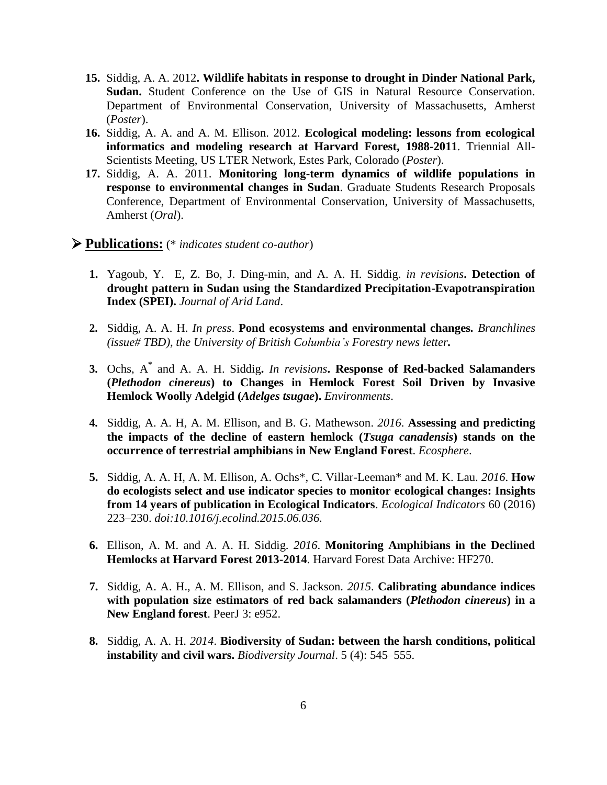- **15.** Siddig, A. A. 2012**. Wildlife habitats in response to drought in Dinder National Park, Sudan.** Student Conference on the Use of GIS in Natural Resource Conservation. Department of Environmental Conservation, University of Massachusetts, Amherst (*Poster*).
- **16.** Siddig, A. A. and A. M. Ellison. 2012. **Ecological modeling: lessons from ecological informatics and modeling research at Harvard Forest, 1988-2011**. Triennial All-Scientists Meeting, US LTER Network, Estes Park, Colorado (*Poster*).
- **17.** Siddig, A. A. 2011. **Monitoring long-term dynamics of wildlife populations in response to environmental changes in Sudan**. Graduate Students Research Proposals Conference, Department of Environmental Conservation, University of Massachusetts, Amherst (*Oral*).

#### **Publications:** (\* *indicates student co-author*)

- **1.** Yagoub, Y. E, Z. Bo, J. Ding-min, and A. A. H. Siddig. *in revisions***. Detection of drought pattern in Sudan using the Standardized Precipitation-Evapotranspiration Index (SPEI).** *Journal of Arid Land*.
- **2.** Siddig, A. A. H. *In press*. **Pond ecosystems and environmental changes***. Branchlines (issue# TBD), the University of British Columbia's Forestry news letter.*
- **3.** Ochs, A**\*** and A. A. H. Siddig**.** *In revisions***. Response of Red-backed Salamanders (***Plethodon cinereus***) to Changes in Hemlock Forest Soil Driven by Invasive Hemlock Woolly Adelgid (***Adelges tsugae***).** *Environments*.
- **4.** Siddig, A. A. H, A. M. Ellison, and B. G. Mathewson. *2016*. **Assessing and predicting the impacts of the decline of eastern hemlock (***Tsuga canadensis***) stands on the occurrence of terrestrial amphibians in New England Forest**. *Ecosphere*.
- **5.** Siddig, A. A. H, A. M. Ellison, A. Ochs\*, C. Villar-Leeman\* and M. K. Lau. *2016*. **How do ecologists select and use indicator species to monitor ecological changes: Insights from 14 years of publication in Ecological Indicators**. *Ecological Indicators* 60 (2016) 223–230. *[doi:10.1016/j.ecolind.2015.06.036.](http://dx.doi.org/10.1016/j.ecolind.2015.06.036)*
- **6.** Ellison, A. M. and A. A. H. Siddig. *2016*. **Monitoring Amphibians in the Declined Hemlocks at Harvard Forest 2013-2014**. Harvard Forest Data Archive: HF270.
- **7.** Siddig, A. A. H., A. M. Ellison, and S. Jackson. *2015*. **Calibrating abundance indices with population size estimators of red back salamanders (***Plethodon cinereus***) in a New England forest**. PeerJ 3: e952.
- **8.** Siddig, A. A. H. *2014*. **Biodiversity of Sudan: between the harsh conditions, political instability and civil wars.** *Biodiversity Journal*. 5 (4): 545–555.